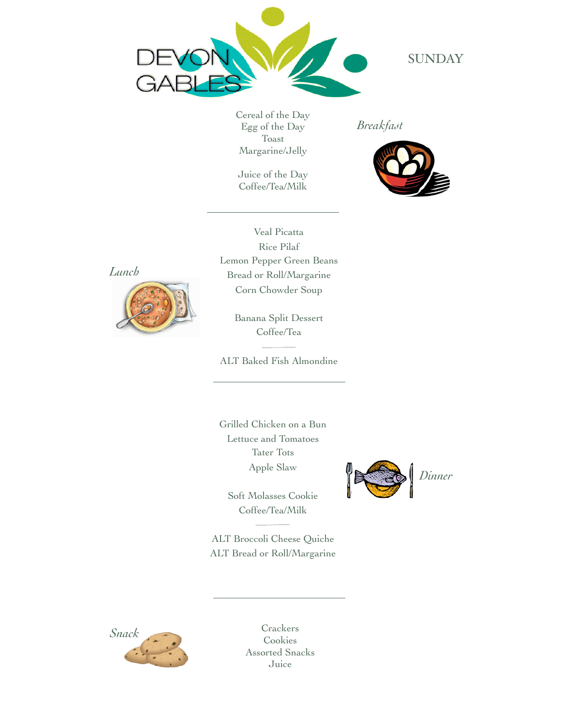

**SUNDAY** 

Cereal of the Day Egg of the Day Toast Margarine/Jelly

Juice of the Day Coffee/Tea/Milk

*Breakfast*



*Lunch*



Veal Picatta Rice Pilaf Lemon Pepper Green Beans Bread or Roll/Margarine Corn Chowder Soup

> Banana Split Dessert Coffee/Tea

ALT Baked Fish Almondine

Grilled Chicken on a Bun Lettuce and Tomatoes Tater Tots Apple Slaw

Soft Molasses Cookie Coffee/Tea/Milk

ALT Broccoli Cheese Quiche ALT Bread or Roll/Margarine





Cookies Assorted Snacks Juice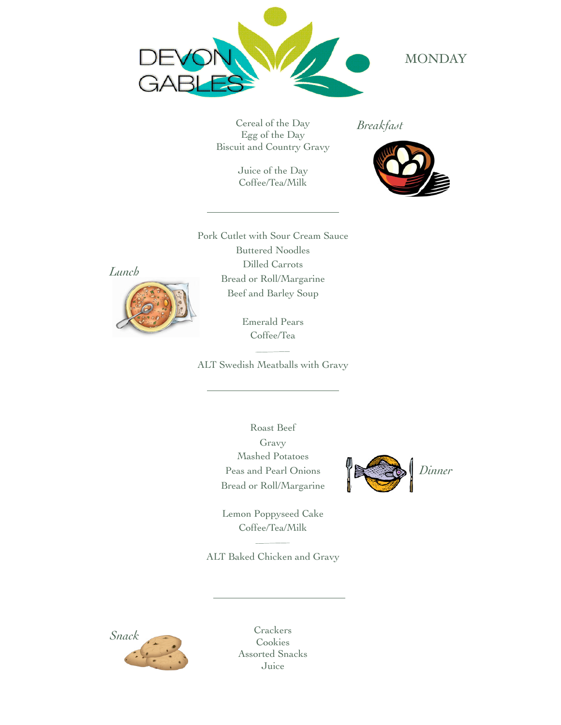

#### **MONDAY**

Cereal of the Day Egg of the Day Biscuit and Country Gravy

> Juice of the Day Coffee/Tea/Milk

*Breakfast*



Pork Cutlet with Sour Cream Sauce Buttered Noodles Dilled Carrots Bread or Roll/Margarine Beef and Barley Soup



Emerald Pears Coffee/Tea

ALT Swedish Meatballs with Gravy

Roast Beef Gravy Mashed Potatoes Peas and Pearl Onions Bread or Roll/Margarine



Lemon Poppyseed Cake Coffee/Tea/Milk

ALT Baked Chicken and Gravy

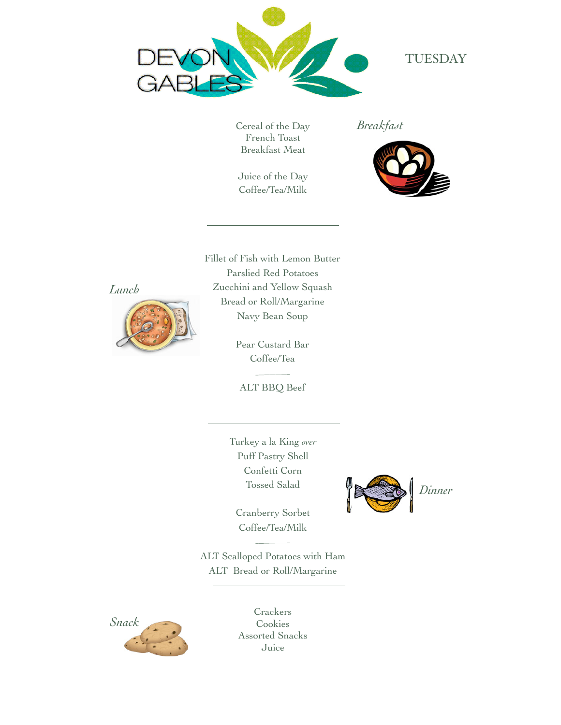

### TUESDAY

Cereal of the Day French Toast Breakfast Meat

Juice of the Day Coffee/Tea/Milk

*Breakfast*



Fillet of Fish with Lemon Butter Parslied Red Potatoes Zucchini and Yellow Squash Bread or Roll/Margarine

*Lunch*



Navy Bean Soup Pear Custard Bar

Coffee/Tea 

ALT BBQ Beef

Turkey a la King *over* Puff Pastry Shell Confetti Corn Tossed Salad

Cranberry Sorbet Coffee/Tea/Milk

ALT Scalloped Potatoes with Ham ALT Bread or Roll/Margarine



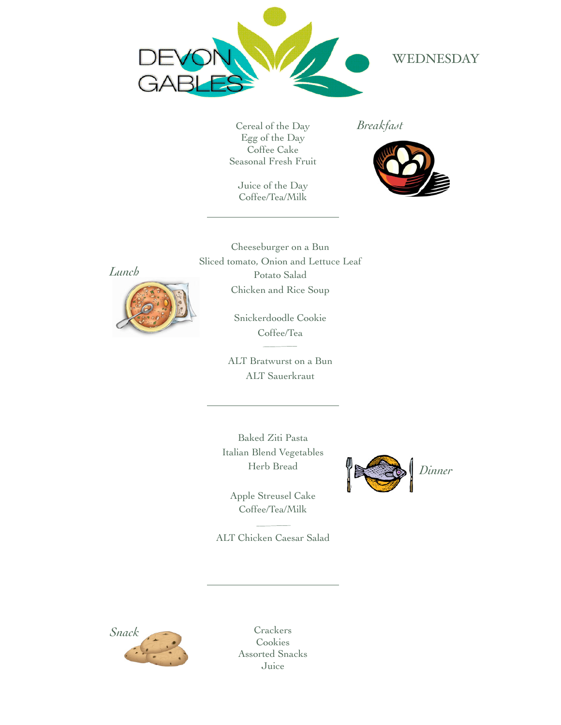

# WEDNESDAY

Cereal of the Day Egg of the Day Coffee Cake Seasonal Fresh Fruit

Juice of the Day Coffee/Tea/Milk

*Breakfast*



*Lunch*



Cheeseburger on a Bun Sliced tomato, Onion and Lettuce Leaf Potato Salad Chicken and Rice Soup

> Snickerdoodle Cookie Coffee/Tea

ALT Bratwurst on a Bun ALT Sauerkraut

Baked Ziti Pasta Italian Blend Vegetables Herb Bread

Apple Streusel Cake Coffee/Tea/Milk

ALT Chicken Caesar Salad



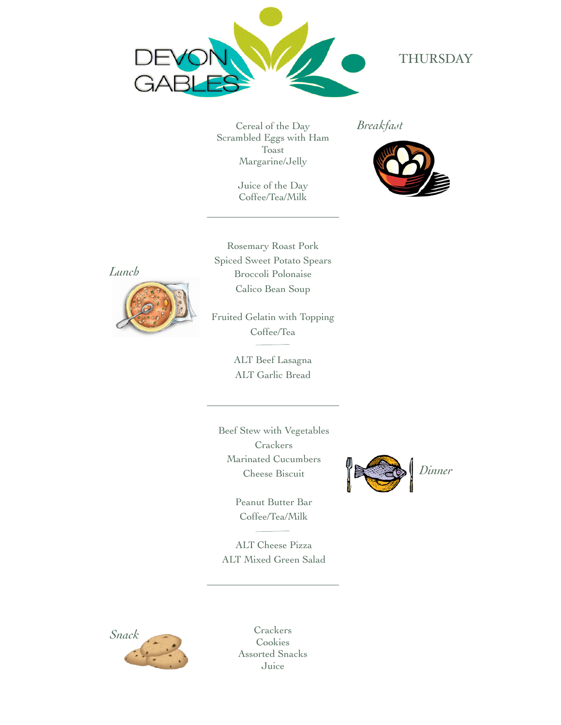

## THURSDAY

Cereal of the Day Scrambled Eggs with Ham Toast Margarine/Jelly

> Juice of the Day Coffee/Tea/Milk

*Breakfast*



*Lunch*



Rosemary Roast Pork Spiced Sweet Potato Spears Broccoli Polonaise Calico Bean Soup

Fruited Gelatin with Topping Coffee/Tea

> ALT Beef Lasagna ALT Garlic Bread

Beef Stew with Vegetables **Crackers** Marinated Cucumbers Cheese Biscuit

> Peanut Butter Bar Coffee/Tea/Milk

ALT Cheese Pizza ALT Mixed Green Salad



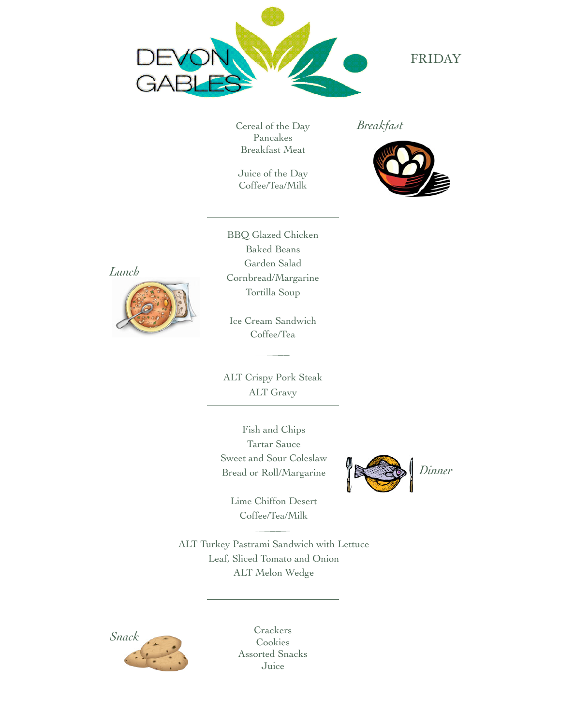

## FRIDAY

Cereal of the Day Pancakes Breakfast Meat

Juice of the Day Coffee/Tea/Milk

*Breakfast*



*Lunch*



BBQ Glazed Chicken Baked Beans Garden Salad Cornbread/Margarine Tortilla Soup

Ice Cream Sandwich Coffee/Tea

ALT Crispy Pork Steak ALT Gravy

Fish and Chips Tartar Sauce Sweet and Sour Coleslaw Bread or Roll/Margarine



Lime Chiffon Desert Coffee/Tea/Milk

ALT Turkey Pastrami Sandwich with Lettuce Leaf, Sliced Tomato and Onion ALT Melon Wedge